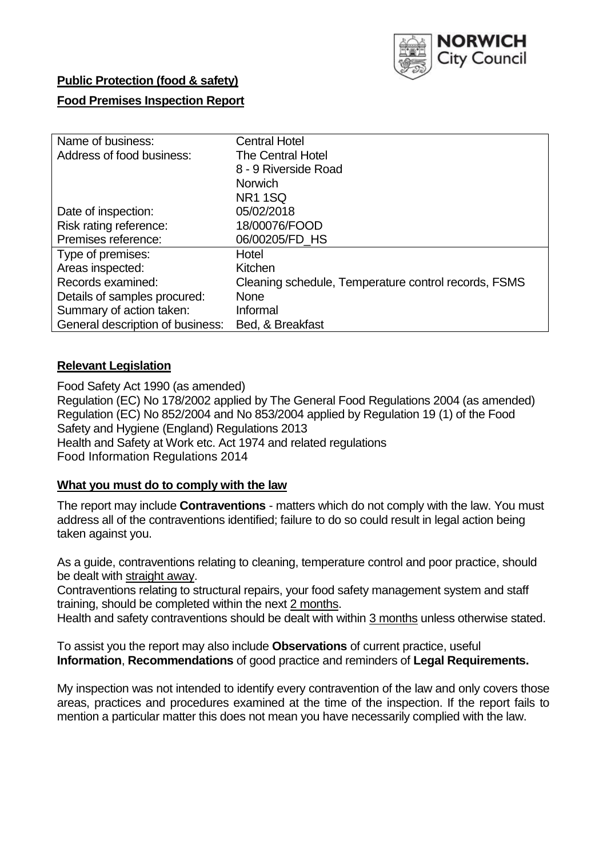

# **Public Protection (food & safety)**

## **Food Premises Inspection Report**

| Name of business:                | <b>Central Hotel</b>                                 |
|----------------------------------|------------------------------------------------------|
| Address of food business:        | The Central Hotel                                    |
|                                  | 8 - 9 Riverside Road                                 |
|                                  | <b>Norwich</b>                                       |
|                                  | <b>NR1 1SQ</b>                                       |
| Date of inspection:              | 05/02/2018                                           |
| Risk rating reference:           | 18/00076/FOOD                                        |
| Premises reference:              | 06/00205/FD HS                                       |
| Type of premises:                | Hotel                                                |
| Areas inspected:                 | Kitchen                                              |
| Records examined:                | Cleaning schedule, Temperature control records, FSMS |
| Details of samples procured:     | <b>None</b>                                          |
| Summary of action taken:         | Informal                                             |
| General description of business: | Bed, & Breakfast                                     |

### **Relevant Legislation**

Food Safety Act 1990 (as amended) Regulation (EC) No 178/2002 applied by The General Food Regulations 2004 (as amended) Regulation (EC) No 852/2004 and No 853/2004 applied by Regulation 19 (1) of the Food Safety and Hygiene (England) Regulations 2013 Health and Safety at Work etc. Act 1974 and related regulations Food Information Regulations 2014

### **What you must do to comply with the law**

The report may include **Contraventions** - matters which do not comply with the law. You must address all of the contraventions identified; failure to do so could result in legal action being taken against you.

As a guide, contraventions relating to cleaning, temperature control and poor practice, should be dealt with straight away.

Contraventions relating to structural repairs, your food safety management system and staff training, should be completed within the next 2 months.

Health and safety contraventions should be dealt with within 3 months unless otherwise stated.

To assist you the report may also include **Observations** of current practice, useful **Information**, **Recommendations** of good practice and reminders of **Legal Requirements.**

My inspection was not intended to identify every contravention of the law and only covers those areas, practices and procedures examined at the time of the inspection. If the report fails to mention a particular matter this does not mean you have necessarily complied with the law.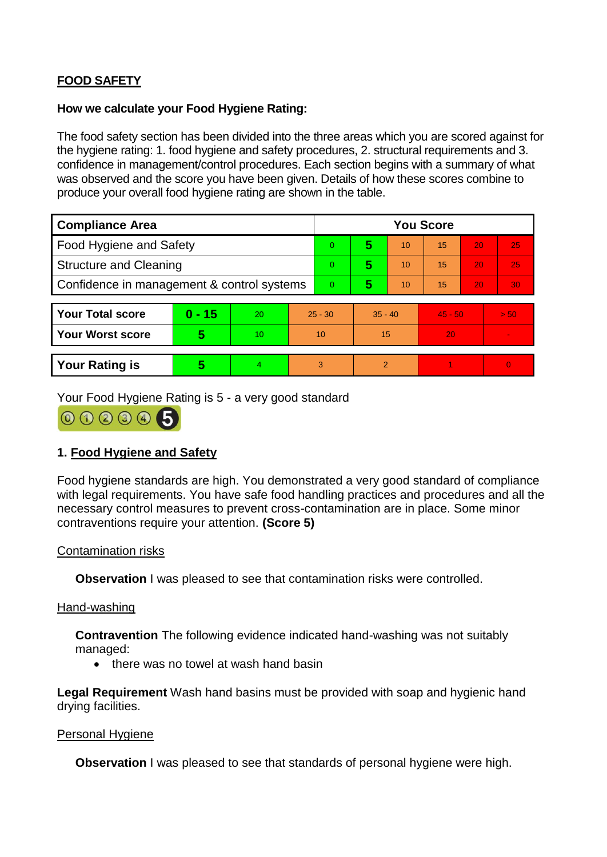# **FOOD SAFETY**

### **How we calculate your Food Hygiene Rating:**

The food safety section has been divided into the three areas which you are scored against for the hygiene rating: 1. food hygiene and safety procedures, 2. structural requirements and 3. confidence in management/control procedures. Each section begins with a summary of what was observed and the score you have been given. Details of how these scores combine to produce your overall food hygiene rating are shown in the table.

| <b>Compliance Area</b>                     |          |                  |           | <b>You Score</b> |               |    |           |    |                |  |
|--------------------------------------------|----------|------------------|-----------|------------------|---------------|----|-----------|----|----------------|--|
| Food Hygiene and Safety                    |          |                  |           | 0                | 5             | 10 | 15        | 20 | 25             |  |
| <b>Structure and Cleaning</b>              |          |                  | $\Omega$  | 5                | 10            | 15 | 20        | 25 |                |  |
| Confidence in management & control systems |          |                  | 0         | 5                | 10            | 15 | 20        | 30 |                |  |
|                                            |          |                  |           |                  |               |    |           |    |                |  |
| <b>Your Total score</b>                    | $0 - 15$ | 20               | $25 - 30$ |                  | $35 - 40$     |    | $45 - 50$ |    | > 50           |  |
| <b>Your Worst score</b>                    | 5        | 10 <sup>10</sup> | 10        |                  | 15            |    | 20        |    | $\blacksquare$ |  |
|                                            |          |                  |           |                  |               |    |           |    |                |  |
| <b>Your Rating is</b>                      | 5        | 4                | 3         |                  | $\mathcal{P}$ |    |           |    | $\overline{0}$ |  |

Your Food Hygiene Rating is 5 - a very good standard



# **1. Food Hygiene and Safety**

Food hygiene standards are high. You demonstrated a very good standard of compliance with legal requirements. You have safe food handling practices and procedures and all the necessary control measures to prevent cross-contamination are in place. Some minor contraventions require your attention. **(Score 5)**

### Contamination risks

**Observation** I was pleased to see that contamination risks were controlled.

#### Hand-washing

**Contravention** The following evidence indicated hand-washing was not suitably managed:

• there was no towel at wash hand basin

**Legal Requirement** Wash hand basins must be provided with soap and hygienic hand drying facilities.

#### Personal Hygiene

**Observation** I was pleased to see that standards of personal hygiene were high.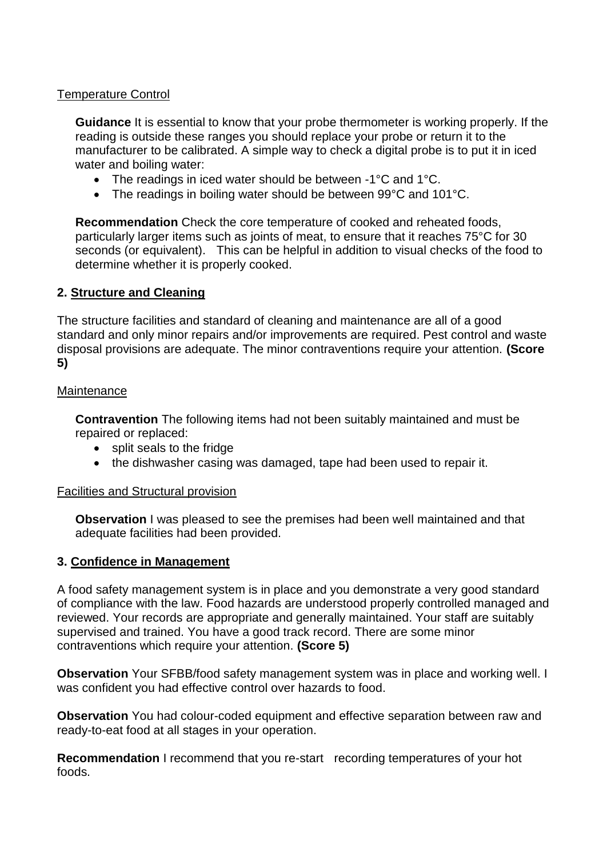### Temperature Control

**Guidance** It is essential to know that your probe thermometer is working properly. If the reading is outside these ranges you should replace your probe or return it to the manufacturer to be calibrated. A simple way to check a digital probe is to put it in iced water and boiling water:

- The readings in iced water should be between -1°C and 1°C.
- The readings in boiling water should be between 99°C and 101°C.

**Recommendation** Check the core temperature of cooked and reheated foods, particularly larger items such as joints of meat, to ensure that it reaches 75°C for 30 seconds (or equivalent). This can be helpful in addition to visual checks of the food to determine whether it is properly cooked.

### **2. Structure and Cleaning**

The structure facilities and standard of cleaning and maintenance are all of a good standard and only minor repairs and/or improvements are required. Pest control and waste disposal provisions are adequate. The minor contraventions require your attention. **(Score 5)**

### **Maintenance**

**Contravention** The following items had not been suitably maintained and must be repaired or replaced:

- split seals to the fridge
- the dishwasher casing was damaged, tape had been used to repair it.

### Facilities and Structural provision

**Observation** I was pleased to see the premises had been well maintained and that adequate facilities had been provided.

### **3. Confidence in Management**

A food safety management system is in place and you demonstrate a very good standard of compliance with the law. Food hazards are understood properly controlled managed and reviewed. Your records are appropriate and generally maintained. Your staff are suitably supervised and trained. You have a good track record. There are some minor contraventions which require your attention. **(Score 5)**

**Observation** Your SFBB/food safety management system was in place and working well. I was confident you had effective control over hazards to food.

**Observation** You had colour-coded equipment and effective separation between raw and ready-to-eat food at all stages in your operation.

**Recommendation** I recommend that you re-start recording temperatures of your hot foods.